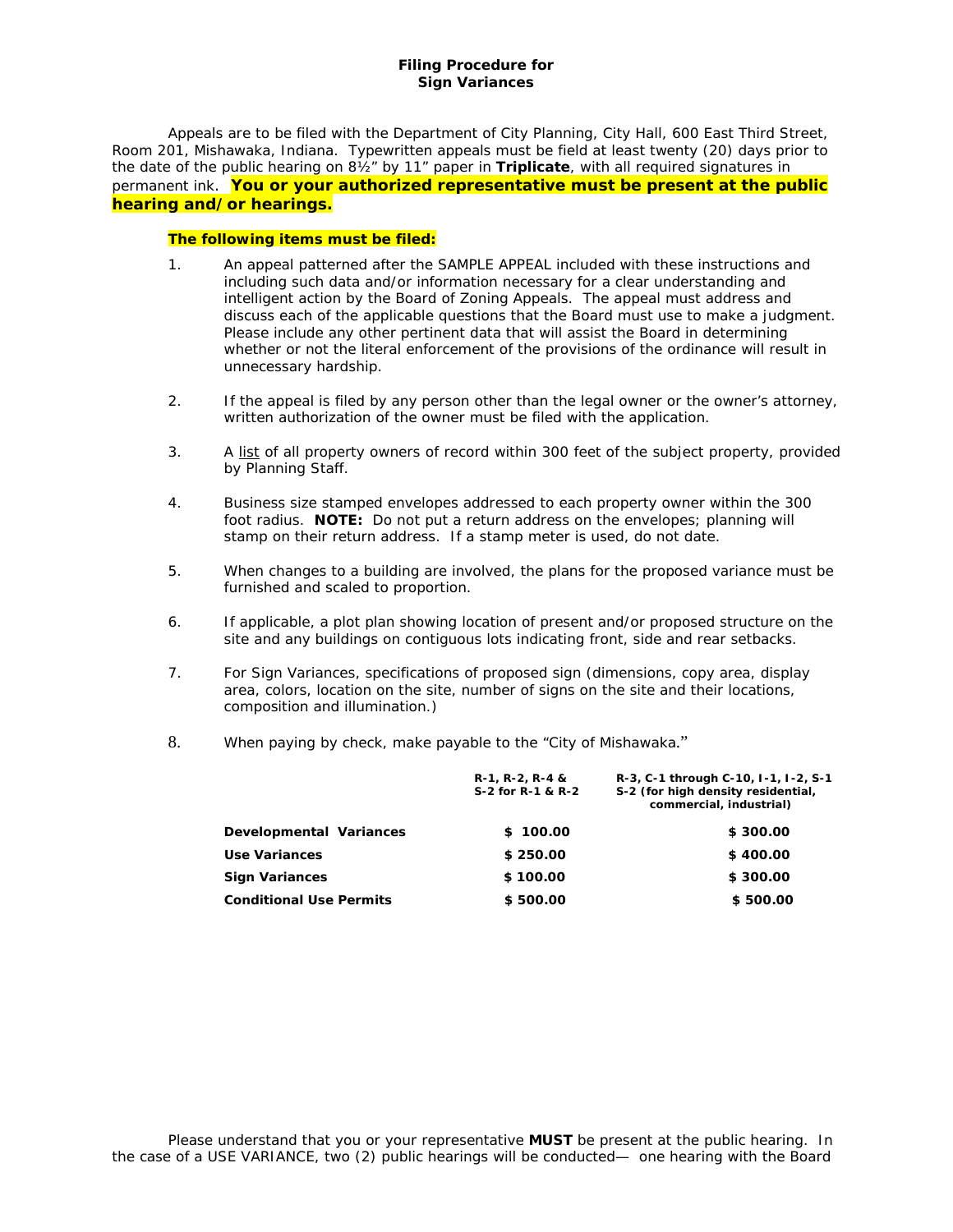# *Filing Procedure for Sign Variances*

Appeals are to be filed with the Department of City Planning, City Hall, 600 East Third Street, Room 201, Mishawaka, Indiana. Typewritten appeals must be field at least twenty (20) days prior to the date of the public hearing on 8½" by 11" paper in *Triplicate*, with all required signatures in permanent ink. **You or your authorized representative must be present at the public hearing and/or hearings.**

# **The following items must be filed:**

- 1. An appeal patterned after the SAMPLE APPEAL included with these instructions and including such data and/or information necessary for a clear understanding and intelligent action by the Board of Zoning Appeals. The appeal must address and discuss each of the applicable questions that the Board must use to make a judgment. Please include any other pertinent data that will assist the Board in determining whether or not the literal enforcement of the provisions of the ordinance will result in unnecessary hardship.
- 2. *If the appeal is filed by any person other than the legal owner or the owner's attorney,* written authorization of the owner must be filed with the application.
- 3. A list of all property owners of record within 300 feet of the subject property, provided by Planning Staff.
- 4. Business size stamped envelopes addressed to each property owner within the 300 foot radius. **NOTE:** Do *not* put a return address on the envelopes; planning will stamp on their return address. If a stamp meter is used, do not date.
- 5. *When changes to a building are involved,* the plans for the proposed variance must be furnished and scaled to proportion.
- 6. If applicable, a plot plan showing location of present and/or proposed structure on the site and any buildings on contiguous lots indicating front, side and rear setbacks.
- 7. *For Sign Variances*, specifications of proposed sign (dimensions, copy area, display area, colors, location on the site, number of signs on the site and their locations, composition and illumination.)
- 8. When paying by check, make payable to the "City of Mishawaka."

|                                | $R-1, R-2, R-4, 8$<br>S-2 for R-1 & R-2 | R-3, C-1 through C-10, I-1, I-2, S-1<br>S-2 (for high density residential,<br>commercial, industrial) |
|--------------------------------|-----------------------------------------|-------------------------------------------------------------------------------------------------------|
| Developmental Variances        | \$100.00                                | \$300.00                                                                                              |
| Use Variances                  | \$250.00                                | \$400.00                                                                                              |
| <b>Sign Variances</b>          | \$100.00                                | \$300.00                                                                                              |
| <b>Conditional Use Permits</b> | \$500.00                                | \$500.00                                                                                              |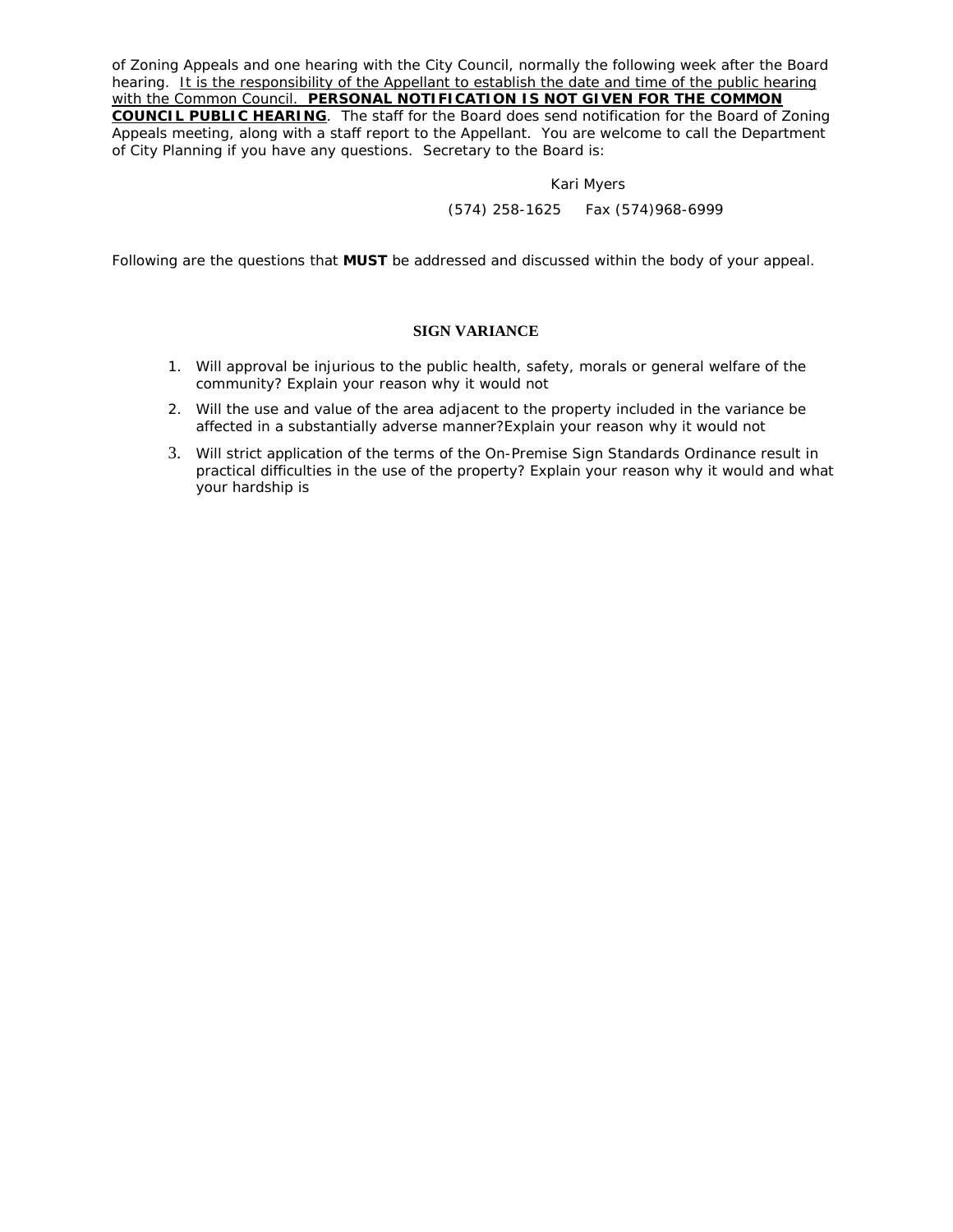of Zoning Appeals and one hearing with the City Council, normally the following week after the Board hearing. *It is the responsibility of the Appellant to establish the date and time of the public hearing with the Common Council. PERSONAL NOTIFICATION IS NOT GIVEN FOR THE COMMON* 

*COUNCIL PUBLIC HEARING*. The staff for the Board does send notification for the Board of Zoning Appeals meeting, along with a staff report to the Appellant. You are welcome to call the Department of City Planning if you have any questions. Secretary to the Board is:

#### Kari Myers

*(574) 258-1625 Fax (574)968-6999*

Following are the questions that *MUST* be addressed and discussed within the body of your appeal.

# **SIGN VARIANCE**

- 1. Will approval be injurious to the public health, safety, morals or general welfare of the community? *Explain your reason why it would not*
- 2. Will the use and value of the area adjacent to the property included in the variance be affected in a substantially adverse manner?*Explain your reason why it would not*
- 3. Will strict application of the terms of the On-Premise Sign Standards Ordinance result in practical difficulties in the use of the property? *Explain your reason why it would and what your hardship is*